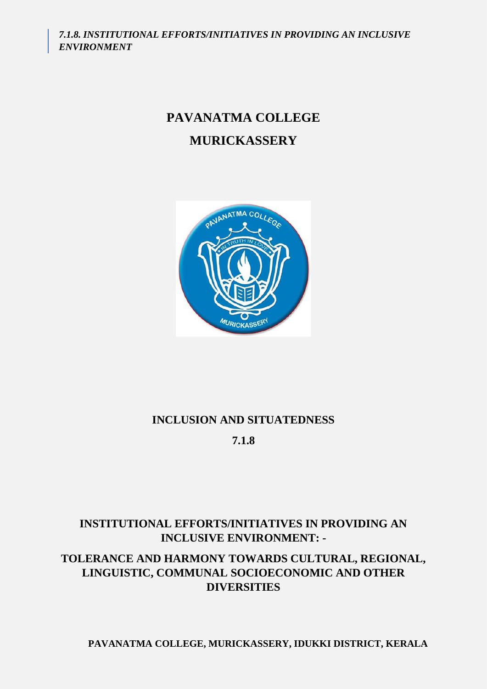*7.1.8. INSTITUTIONAL EFFORTS/INITIATIVES IN PROVIDING AN INCLUSIVE ENVIRONMENT*

# **PAVANATMA COLLEGE MURICKASSERY**



## **INCLUSION AND SITUATEDNESS**

**7.1.8**

## **INSTITUTIONAL EFFORTS/INITIATIVES IN PROVIDING AN INCLUSIVE ENVIRONMENT: -**

## **TOLERANCE AND HARMONY TOWARDS CULTURAL, REGIONAL, LINGUISTIC, COMMUNAL SOCIOECONOMIC AND OTHER DIVERSITIES**

**PAVANATMA COLLEGE, MURICKASSERY, IDUKKI DISTRICT, KERALA**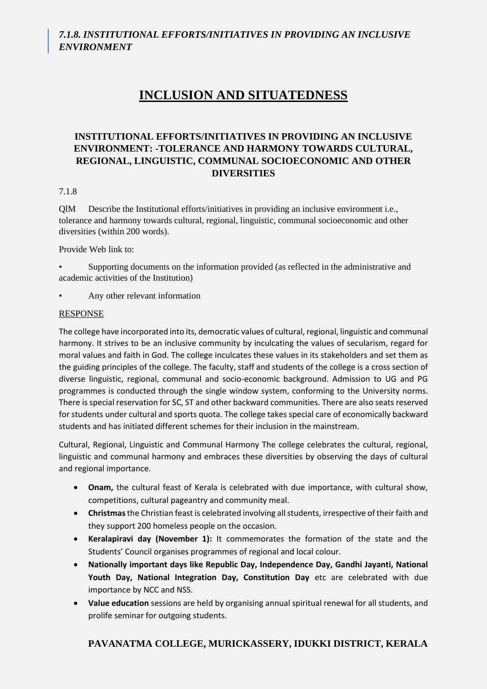# **INCLUSION AND SITUATEDNESS**

#### **INSTITUTIONAL EFFORTS/INITIATIVES IN PROVIDING AN INCLUSIVE ENVIRONMENT: -TOLERANCE AND HARMONY TOWARDS CULTURAL, REGIONAL, LINGUISTIC, COMMUNAL SOCIOECONOMIC AND OTHER DIVERSITIES**

#### 7.1.8

QlM Describe the Institutional efforts/initiatives in providing an inclusive environment i.e., tolerance and harmony towards cultural, regional, linguistic, communal socioeconomic and other diversities (within 200 words).

Provide Web link to:

• Supporting documents on the information provided (as reflected in the administrative and academic activities of the Institution)

Any other relevant information

#### RESPONSE

The college have incorporated into its, democratic values of cultural, regional, linguistic and communal harmony. It strives to be an inclusive community by inculcating the values of secularism, regard for moral values and faith in God. The college inculcates these values in its stakeholders and set them as the guiding principles of the college. The faculty, staff and students of the college is a cross section of diverse linguistic, regional, communal and socio-economic background. Admission to UG and PG programmes is conducted through the single window system, conforming to the University norms. There is special reservation for SC, ST and other backward communities. There are also seats reserved for students under cultural and sports quota. The college takes special care of economically backward students and has initiated different schemes for their inclusion in the mainstream.

Cultural, Regional, Linguistic and Communal Harmony The college celebrates the cultural, regional, linguistic and communal harmony and embraces these diversities by observing the days of cultural and regional importance.

- **Onam,** the cultural feast of Kerala is celebrated with due importance, with cultural show, competitions, cultural pageantry and community meal.
- **Christmas**the Christian feast is celebrated involving all students, irrespective of their faith and they support 200 homeless people on the occasion.
- **Keralapiravi day (November 1):** It commemorates the formation of the state and the Students' Council organises programmes of regional and local colour.
- **Nationally important days like Republic Day, Independence Day, Gandhi Jayanti, National Youth Day, National Integration Day, Constitution Day** etc are celebrated with due importance by NCC and NSS.
- **Value education** sessions are held by organising annual spiritual renewal for all students, and prolife seminar for outgoing students.

### **PAVANATMA COLLEGE, MURICKASSERY, IDUKKI DISTRICT, KERALA**